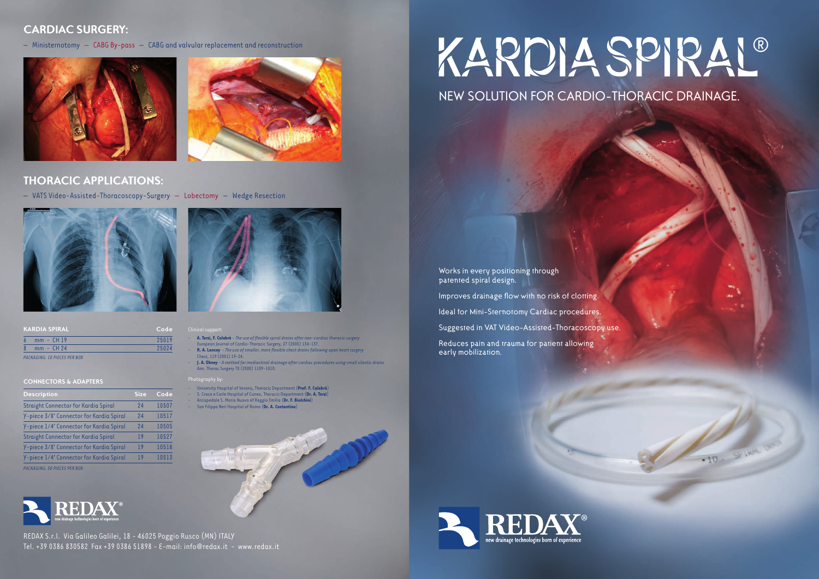*PACKAGING: 10 PIECES PER BOX*

| <b>KARDIA SPIRAL</b>               | Code  | Clinical support:                 |
|------------------------------------|-------|-----------------------------------|
| $mm - CH19$                        | 25019 | - A. Terzi, F. Cal                |
| $mm - CH 24$                       | 25024 | European Jour<br>$-$ R. A. Lancey |
| <b>DACHACHIC 10 DICCCC DCD DOV</b> |       | $Ch$ <sub>oct</sub> 110 (20       |

- **A. Terzi, F. Calabrò** *The use of flexible spiral drains after non-cardiac thoracic surgery* European Journal of Cardio-Thoracic Surgery, 27 (2005) 134-137.
- - **R. A. Lancey** - *The use of smaller, more flexible chest drains following open heart surgery* Chest, 119 (2001) 19-24.
- **J. A. Obney** *A method for mediastinal drainage after cardiac procedures using small silastic drains*  Ann.Thorac Surgery 70 (2000) 1109-1010.

- - University Hospital of Verona,Thoracic Department(**Prof. F. Calabrò**)
- S. Croce e Carle Hospital of Cuneo, Thoracic Department (Dr. A. Terzi)
- Arcispedale S. Maria Nuova of Reggio Emilia (Dr. F. Biolchini)
- San Filippo Neri Hospital of Roma (Dr. A. Costantino)



# KARDIA SPIRAL®

## **CARDIAC SURGERY:**

 $-$  Ministernotomy  $-$  CABG By-pass  $-$  CABG and valvular replacement and reconstruction





Works in every positioning through patented spiral design.

Improves drainage flow with no risk of clotting.

Ideal for Mini-Sternotomy Cardiac procedures.

Suggested in VAT Video-Assisted-Thoracoscopy use.

Reduces pain and trauma for patient allowing early mobilization.



-10. SPINN 190

NEW SOLUTION FOR CARDIO-THORACIC DRAINAGE.

### Photography by:

## **CONNECTORS & ADAPTERS**

*PACKAGING: 50 PIECES PER BOX*



| Description                              | <b>Size</b> | Code  |
|------------------------------------------|-------------|-------|
| Straight Connector for Kardia Spiral     | 24          | 10507 |
| Y-piece 3/8' Connector for Kardia Spiral | 24          | 10517 |
| Y-piece 1/4' Connector for Kardia Spiral | 24          | 10505 |
| Straight Connector for Kardia Spiral     | 19          | 10527 |
| Y-piece 3/8' Connector for Kardia Spiral | 19          | 10518 |
| Y-piece 1/4' Connector for Kardia Spiral | 19          | 10513 |
| PACKAGING. 50 PIECES PER ROY             |             |       |

## **THORACIC APPLICATIONS:**

- VATS Video-Assisted-Thoracoscopy-Surgery - Lobectomy - Wedge Resection